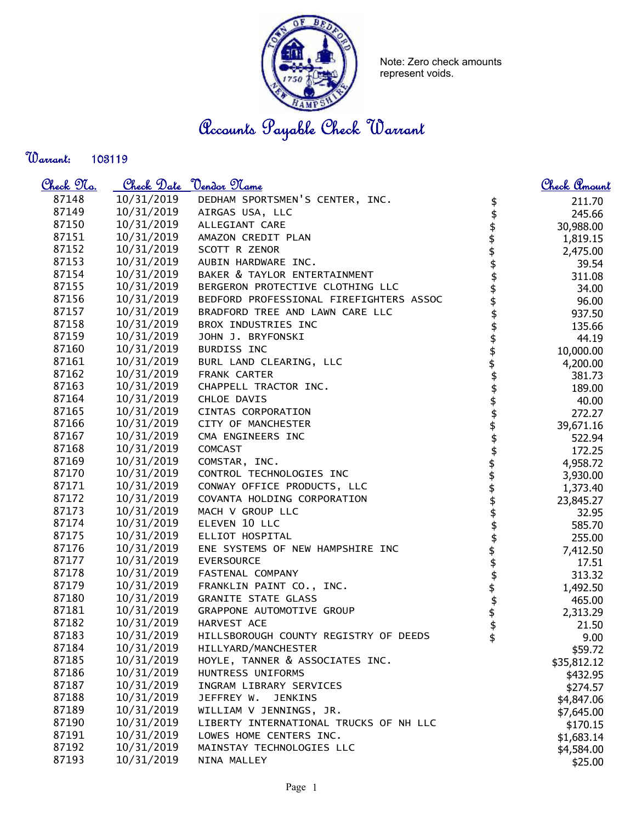

Note: Zero check amounts represent voids.

Accounts Payable Check Warrant

Warrant: 

| <u>Check No.</u> |            | Check Date <u>Vendor</u> Name           | <u>Check Amount</u>                          |
|------------------|------------|-----------------------------------------|----------------------------------------------|
| 87148            | 10/31/2019 | DEDHAM SPORTSMEN'S CENTER, INC.         | 211.70<br>\$                                 |
| 87149            | 10/31/2019 | AIRGAS USA, LLC                         | 245.66                                       |
| 87150            | 10/31/2019 | ALLEGIANT CARE                          | 30,988.00                                    |
| 87151            | 10/31/2019 | AMAZON CREDIT PLAN                      | 1,819.15                                     |
| 87152            | 10/31/2019 | SCOTT R ZENOR                           | 2,475.00                                     |
| 87153            | 10/31/2019 | AUBIN HARDWARE INC.                     | 39.54                                        |
| 87154            | 10/31/2019 | BAKER & TAYLOR ENTERTAINMENT            | 311.08                                       |
| 87155            | 10/31/2019 | BERGERON PROTECTIVE CLOTHING LLC        | 34.00                                        |
| 87156            | 10/31/2019 | BEDFORD PROFESSIONAL FIREFIGHTERS ASSOC | 96.00                                        |
| 87157            | 10/31/2019 | BRADFORD TREE AND LAWN CARE LLC         | 937.50                                       |
| 87158            | 10/31/2019 | BROX INDUSTRIES INC                     | 135.66                                       |
| 87159            | 10/31/2019 | JOHN J. BRYFONSKI                       | 44.19                                        |
| 87160            | 10/31/2019 | BURDISS INC                             | 10,000.00                                    |
| 87161            | 10/31/2019 | BURL LAND CLEARING, LLC                 | 4,200.00                                     |
| 87162            | 10/31/2019 | FRANK CARTER                            | 381.73                                       |
| 87163            | 10/31/2019 | CHAPPELL TRACTOR INC.                   | 189.00                                       |
| 87164            | 10/31/2019 | CHLOE DAVIS                             | 40.00                                        |
| 87165            | 10/31/2019 | CINTAS CORPORATION                      | 272.27                                       |
| 87166            | 10/31/2019 | CITY OF MANCHESTER                      | 39,671.16                                    |
| 87167            | 10/31/2019 | CMA ENGINEERS INC                       | 522.94                                       |
| 87168            | 10/31/2019 | COMCAST                                 | 172.25                                       |
| 87169            | 10/31/2019 | COMSTAR, INC.                           | 4,958.72                                     |
| 87170            | 10/31/2019 | CONTROL TECHNOLOGIES INC                | 3,930.00                                     |
| 87171            | 10/31/2019 | CONWAY OFFICE PRODUCTS, LLC             | ቝቝቝቝቝቝቝቝቝቝቝቝቝቝቝቝቝቝቝቝቝቝቝቝቝቝ<br>ቝቝ<br>1,373.40 |
| 87172            | 10/31/2019 | COVANTA HOLDING CORPORATION             | 23,845.27                                    |
| 87173            | 10/31/2019 | MACH V GROUP LLC                        | 32.95                                        |
| 87174            | 10/31/2019 | ELEVEN 10 LLC                           | 585.70                                       |
| 87175            | 10/31/2019 | ELLIOT HOSPITAL                         | 255.00                                       |
| 87176            | 10/31/2019 | ENE SYSTEMS OF NEW HAMPSHIRE INC        | 7,412.50                                     |
| 87177            | 10/31/2019 | EVERSOURCE                              | 17.51                                        |
| 87178            | 10/31/2019 | FASTENAL COMPANY                        | 313.32                                       |
| 87179            | 10/31/2019 | FRANKLIN PAINT CO., INC.                | 1,492.50                                     |
| 87180            | 10/31/2019 | <b>GRANITE STATE GLASS</b>              | 465.00                                       |
| 87181            | 10/31/2019 | GRAPPONE AUTOMOTIVE GROUP               | 2,313.29                                     |
| 87182            | 10/31/2019 | HARVEST ACE                             | 21.50                                        |
| 87183            | 10/31/2019 | HILLSBOROUGH COUNTY REGISTRY OF DEEDS   | 9.00                                         |
| 87184            | 10/31/2019 | HILLYARD/MANCHESTER                     | \$59.72                                      |
| 87185            | 10/31/2019 | HOYLE, TANNER & ASSOCIATES INC.         | \$35,812.12                                  |
| 87186            | 10/31/2019 | HUNTRESS UNIFORMS                       | \$432.95                                     |
| 87187            | 10/31/2019 | INGRAM LIBRARY SERVICES                 | \$274.57                                     |
| 87188            | 10/31/2019 | JEFFREY W.<br><b>JENKINS</b>            | \$4,847.06                                   |
| 87189            | 10/31/2019 | WILLIAM V JENNINGS, JR.                 | \$7,645.00                                   |
| 87190            | 10/31/2019 | LIBERTY INTERNATIONAL TRUCKS OF NH LLC  | \$170.15                                     |
| 87191            | 10/31/2019 | LOWES HOME CENTERS INC.                 | \$1,683.14                                   |
| 87192            | 10/31/2019 | MAINSTAY TECHNOLOGIES LLC               | \$4,584.00                                   |
| 87193            | 10/31/2019 | NINA MALLEY                             | \$25.00                                      |